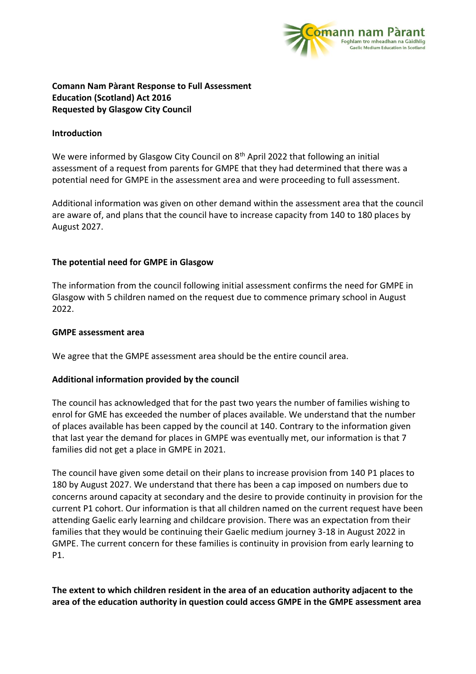

# **Comann Nam Pàrant Response to Full Assessment Education (Scotland) Act 2016 Requested by Glasgow City Council**

#### **Introduction**

We were informed by Glasgow City Council on 8<sup>th</sup> April 2022 that following an initial assessment of a request from parents for GMPE that they had determined that there was a potential need for GMPE in the assessment area and were proceeding to full assessment.

Additional information was given on other demand within the assessment area that the council are aware of, and plans that the council have to increase capacity from 140 to 180 places by August 2027.

## **The potential need for GMPE in Glasgow**

The information from the council following initial assessment confirms the need for GMPE in Glasgow with 5 children named on the request due to commence primary school in August 2022.

#### **GMPE assessment area**

We agree that the GMPE assessment area should be the entire council area.

# **Additional information provided by the council**

The council has acknowledged that for the past two years the number of families wishing to enrol for GME has exceeded the number of places available. We understand that the number of places available has been capped by the council at 140. Contrary to the information given that last year the demand for places in GMPE was eventually met, our information is that 7 families did not get a place in GMPE in 2021.

The council have given some detail on their plans to increase provision from 140 P1 places to 180 by August 2027. We understand that there has been a cap imposed on numbers due to concerns around capacity at secondary and the desire to provide continuity in provision for the current P1 cohort. Our information is that all children named on the current request have been attending Gaelic early learning and childcare provision. There was an expectation from their families that they would be continuing their Gaelic medium journey 3-18 in August 2022 in GMPE. The current concern for these families is continuity in provision from early learning to P1.

**The extent to which children resident in the area of an education authority adjacent to the area of the education authority in question could access GMPE in the GMPE assessment area**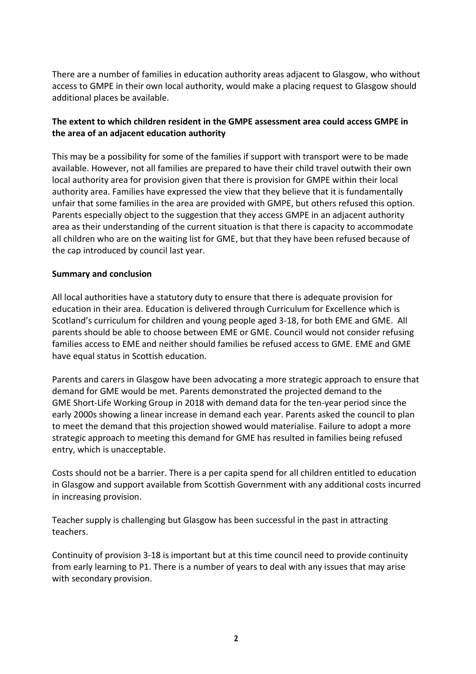There are a number of families in education authority areas adjacent to Glasgow, who without access to GMPE in their own local authority, would make a placing request to Glasgow should additional places be available.

# **The extent to which children resident in the GMPE assessment area could access GMPE in the area of an adjacent education authority**

This may be a possibility for some of the families if support with transport were to be made available. However, not all families are prepared to have their child travel outwith their own local authority area for provision given that there is provision for GMPE within their local authority area. Families have expressed the view that they believe that it is fundamentally unfair that some families in the area are provided with GMPE, but others refused this option. Parents especially object to the suggestion that they access GMPE in an adjacent authority area as their understanding of the current situation is that there is capacity to accommodate all children who are on the waiting list for GME, but that they have been refused because of the cap introduced by council last year.

## **Summary and conclusion**

All local authorities have a statutory duty to ensure that there is adequate provision for education in their area. Education is delivered through Curriculum for Excellence which is Scotland's curriculum for children and young people aged 3-18, for both EME and GME. All parents should be able to choose between EME or GME. Council would not consider refusing families access to EME and neither should families be refused access to GME. EME and GME have equal status in Scottish education.

Parents and carers in Glasgow have been advocating a more strategic approach to ensure that demand for GME would be met. Parents demonstrated the projected demand to the GME Short-Life Working Group in 2018 with demand data for the ten-year period since the early 2000s showing a linear increase in demand each year. Parents asked the council to plan to meet the demand that this projection showed would materialise. Failure to adopt a more strategic approach to meeting this demand for GME has resulted in families being refused entry, which is unacceptable.

Costs should not be a barrier. There is a per capita spend for all children entitled to education in Glasgow and support available from Scottish Government with any additional costs incurred in increasing provision.

Teacher supply is challenging but Glasgow has been successful in the past in attracting teachers.

Continuity of provision 3-18 is important but at this time council need to provide continuity from early learning to P1. There is a number of years to deal with any issues that may arise with secondary provision.